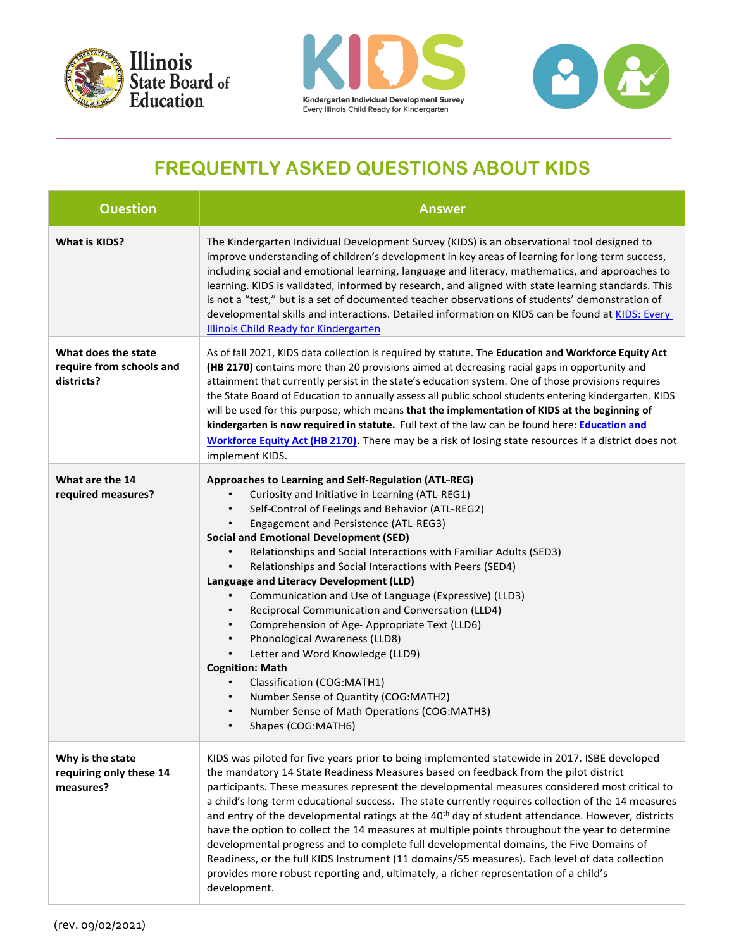





## **FREQUENTLY ASKED QUESTIONS ABOUT KIDS**

| Question                                                      | <b>Answer</b>                                                                                                                                                                                                                                                                                                                                                                                                                                                                                                                                                                                                                                                                                                                                                                                                                                                                                                                                                                          |
|---------------------------------------------------------------|----------------------------------------------------------------------------------------------------------------------------------------------------------------------------------------------------------------------------------------------------------------------------------------------------------------------------------------------------------------------------------------------------------------------------------------------------------------------------------------------------------------------------------------------------------------------------------------------------------------------------------------------------------------------------------------------------------------------------------------------------------------------------------------------------------------------------------------------------------------------------------------------------------------------------------------------------------------------------------------|
| <b>What is KIDS?</b>                                          | The Kindergarten Individual Development Survey (KIDS) is an observational tool designed to<br>improve understanding of children's development in key areas of learning for long-term success,<br>including social and emotional learning, language and literacy, mathematics, and approaches to<br>learning. KIDS is validated, informed by research, and aligned with state learning standards. This<br>is not a "test," but is a set of documented teacher observations of students' demonstration of<br>developmental skills and interactions. Detailed information on KIDS can be found at KIDS: Every<br><b>Illinois Child Ready for Kindergarten</b>                                                                                                                                                                                                                                                                                                                             |
| What does the state<br>require from schools and<br>districts? | As of fall 2021, KIDS data collection is required by statute. The Education and Workforce Equity Act<br>(HB 2170) contains more than 20 provisions aimed at decreasing racial gaps in opportunity and<br>attainment that currently persist in the state's education system. One of those provisions requires<br>the State Board of Education to annually assess all public school students entering kindergarten. KIDS<br>will be used for this purpose, which means that the implementation of KIDS at the beginning of<br>kindergarten is now required in statute. Full text of the law can be found here: <b>Education and</b><br>Workforce Equity Act (HB 2170). There may be a risk of losing state resources if a district does not<br>implement KIDS.                                                                                                                                                                                                                           |
| What are the 14<br>required measures?                         | Approaches to Learning and Self-Regulation (ATL-REG)<br>Curiosity and Initiative in Learning (ATL-REG1)<br>Self-Control of Feelings and Behavior (ATL-REG2)<br>$\bullet$<br>Engagement and Persistence (ATL-REG3)<br><b>Social and Emotional Development (SED)</b><br>Relationships and Social Interactions with Familiar Adults (SED3)<br>$\bullet$<br>Relationships and Social Interactions with Peers (SED4)<br>$\bullet$<br>Language and Literacy Development (LLD)<br>Communication and Use of Language (Expressive) (LLD3)<br>$\bullet$<br>Reciprocal Communication and Conversation (LLD4)<br>$\bullet$<br>Comprehension of Age-Appropriate Text (LLD6)<br>$\bullet$<br>Phonological Awareness (LLD8)<br>$\bullet$<br>Letter and Word Knowledge (LLD9)<br>$\bullet$<br><b>Cognition: Math</b><br>Classification (COG:MATH1)<br>$\bullet$<br>Number Sense of Quantity (COG:MATH2)<br>$\bullet$<br>Number Sense of Math Operations (COG:MATH3)<br>$\bullet$<br>Shapes (COG:MATH6) |
| Why is the state<br>requiring only these 14<br>measures?      | KIDS was piloted for five years prior to being implemented statewide in 2017. ISBE developed<br>the mandatory 14 State Readiness Measures based on feedback from the pilot district<br>participants. These measures represent the developmental measures considered most critical to<br>a child's long-term educational success. The state currently requires collection of the 14 measures<br>and entry of the developmental ratings at the 40 <sup>th</sup> day of student attendance. However, districts<br>have the option to collect the 14 measures at multiple points throughout the year to determine<br>developmental progress and to complete full developmental domains, the Five Domains of<br>Readiness, or the full KIDS Instrument (11 domains/55 measures). Each level of data collection<br>provides more robust reporting and, ultimately, a richer representation of a child's<br>development.                                                                      |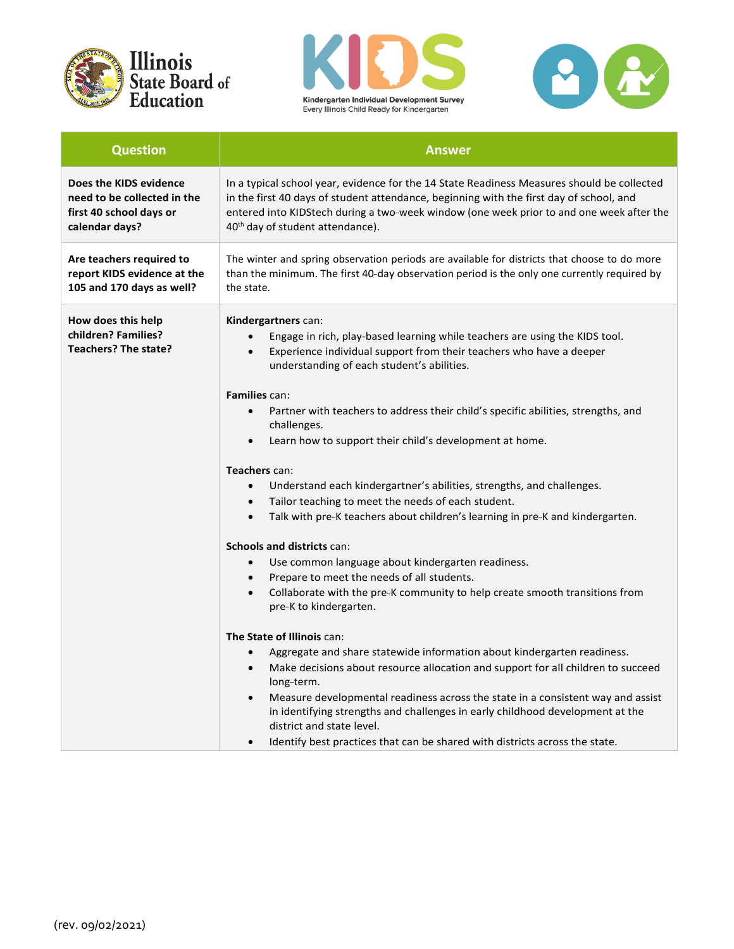





| <b>Question</b>                                                                                    | <b>Answer</b>                                                                                                                                                                                                                                                                                                                                                                                                                                                                                                                                                                                                                                                                                                                                                                                                                                                                                                                                                                                                                                                                                                                                                                                                                                                                                                                                                                                                 |
|----------------------------------------------------------------------------------------------------|---------------------------------------------------------------------------------------------------------------------------------------------------------------------------------------------------------------------------------------------------------------------------------------------------------------------------------------------------------------------------------------------------------------------------------------------------------------------------------------------------------------------------------------------------------------------------------------------------------------------------------------------------------------------------------------------------------------------------------------------------------------------------------------------------------------------------------------------------------------------------------------------------------------------------------------------------------------------------------------------------------------------------------------------------------------------------------------------------------------------------------------------------------------------------------------------------------------------------------------------------------------------------------------------------------------------------------------------------------------------------------------------------------------|
|                                                                                                    |                                                                                                                                                                                                                                                                                                                                                                                                                                                                                                                                                                                                                                                                                                                                                                                                                                                                                                                                                                                                                                                                                                                                                                                                                                                                                                                                                                                                               |
| Does the KIDS evidence<br>need to be collected in the<br>first 40 school days or<br>calendar days? | In a typical school year, evidence for the 14 State Readiness Measures should be collected<br>in the first 40 days of student attendance, beginning with the first day of school, and<br>entered into KIDStech during a two-week window (one week prior to and one week after the<br>40 <sup>th</sup> day of student attendance).                                                                                                                                                                                                                                                                                                                                                                                                                                                                                                                                                                                                                                                                                                                                                                                                                                                                                                                                                                                                                                                                             |
| Are teachers required to<br>report KIDS evidence at the<br>105 and 170 days as well?               | The winter and spring observation periods are available for districts that choose to do more<br>than the minimum. The first 40-day observation period is the only one currently required by<br>the state.                                                                                                                                                                                                                                                                                                                                                                                                                                                                                                                                                                                                                                                                                                                                                                                                                                                                                                                                                                                                                                                                                                                                                                                                     |
| How does this help<br>children? Families?<br>Teachers? The state?                                  | Kindergartners can:<br>Engage in rich, play-based learning while teachers are using the KIDS tool.<br>Experience individual support from their teachers who have a deeper<br>understanding of each student's abilities.<br><b>Families can:</b><br>Partner with teachers to address their child's specific abilities, strengths, and<br>$\bullet$<br>challenges.<br>Learn how to support their child's development at home.<br>Teachers can:<br>Understand each kindergartner's abilities, strengths, and challenges.<br>$\bullet$<br>Tailor teaching to meet the needs of each student.<br>$\bullet$<br>Talk with pre-K teachers about children's learning in pre-K and kindergarten.<br>$\bullet$<br>Schools and districts can:<br>Use common language about kindergarten readiness.<br>$\bullet$<br>Prepare to meet the needs of all students.<br>$\bullet$<br>Collaborate with the pre-K community to help create smooth transitions from<br>pre-K to kindergarten.<br>The State of Illinois can:<br>Aggregate and share statewide information about kindergarten readiness.<br>$\bullet$<br>Make decisions about resource allocation and support for all children to succeed<br>$\bullet$<br>long-term.<br>Measure developmental readiness across the state in a consistent way and assist<br>in identifying strengths and challenges in early childhood development at the<br>district and state level. |
|                                                                                                    | Identify best practices that can be shared with districts across the state.                                                                                                                                                                                                                                                                                                                                                                                                                                                                                                                                                                                                                                                                                                                                                                                                                                                                                                                                                                                                                                                                                                                                                                                                                                                                                                                                   |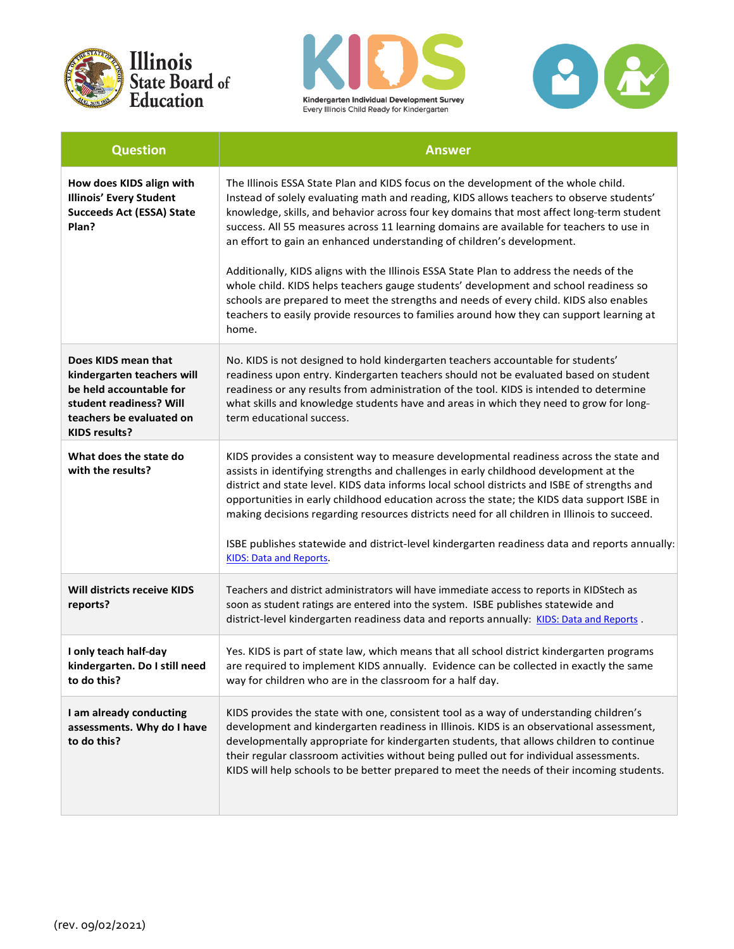





| <b>Question</b>                                                                                                                                             | <b>Answer</b>                                                                                                                                                                                                                                                                                                                                                                                                                                                                                                                                                                                                                                                                                                                                                                                                                        |
|-------------------------------------------------------------------------------------------------------------------------------------------------------------|--------------------------------------------------------------------------------------------------------------------------------------------------------------------------------------------------------------------------------------------------------------------------------------------------------------------------------------------------------------------------------------------------------------------------------------------------------------------------------------------------------------------------------------------------------------------------------------------------------------------------------------------------------------------------------------------------------------------------------------------------------------------------------------------------------------------------------------|
| How does KIDS align with<br><b>Illinois' Every Student</b><br><b>Succeeds Act (ESSA) State</b><br>Plan?                                                     | The Illinois ESSA State Plan and KIDS focus on the development of the whole child.<br>Instead of solely evaluating math and reading, KIDS allows teachers to observe students'<br>knowledge, skills, and behavior across four key domains that most affect long-term student<br>success. All 55 measures across 11 learning domains are available for teachers to use in<br>an effort to gain an enhanced understanding of children's development.<br>Additionally, KIDS aligns with the Illinois ESSA State Plan to address the needs of the<br>whole child. KIDS helps teachers gauge students' development and school readiness so<br>schools are prepared to meet the strengths and needs of every child. KIDS also enables<br>teachers to easily provide resources to families around how they can support learning at<br>home. |
| Does KIDS mean that<br>kindergarten teachers will<br>be held accountable for<br>student readiness? Will<br>teachers be evaluated on<br><b>KIDS results?</b> | No. KIDS is not designed to hold kindergarten teachers accountable for students'<br>readiness upon entry. Kindergarten teachers should not be evaluated based on student<br>readiness or any results from administration of the tool. KIDS is intended to determine<br>what skills and knowledge students have and areas in which they need to grow for long-<br>term educational success.                                                                                                                                                                                                                                                                                                                                                                                                                                           |
| What does the state do<br>with the results?                                                                                                                 | KIDS provides a consistent way to measure developmental readiness across the state and<br>assists in identifying strengths and challenges in early childhood development at the<br>district and state level. KIDS data informs local school districts and ISBE of strengths and<br>opportunities in early childhood education across the state; the KIDS data support ISBE in<br>making decisions regarding resources districts need for all children in Illinois to succeed.<br>ISBE publishes statewide and district-level kindergarten readiness data and reports annually:<br><b>KIDS: Data and Reports.</b>                                                                                                                                                                                                                     |
| Will districts receive KIDS<br>reports?                                                                                                                     | Teachers and district administrators will have immediate access to reports in KIDStech as<br>soon as student ratings are entered into the system. ISBE publishes statewide and<br>district-level kindergarten readiness data and reports annually: KIDS: Data and Reports.                                                                                                                                                                                                                                                                                                                                                                                                                                                                                                                                                           |
| I only teach half-day<br>kindergarten. Do I still need<br>to do this?                                                                                       | Yes. KIDS is part of state law, which means that all school district kindergarten programs<br>are required to implement KIDS annually. Evidence can be collected in exactly the same<br>way for children who are in the classroom for a half day.                                                                                                                                                                                                                                                                                                                                                                                                                                                                                                                                                                                    |
| I am already conducting<br>assessments. Why do I have<br>to do this?                                                                                        | KIDS provides the state with one, consistent tool as a way of understanding children's<br>development and kindergarten readiness in Illinois. KIDS is an observational assessment,<br>developmentally appropriate for kindergarten students, that allows children to continue<br>their regular classroom activities without being pulled out for individual assessments.<br>KIDS will help schools to be better prepared to meet the needs of their incoming students.                                                                                                                                                                                                                                                                                                                                                               |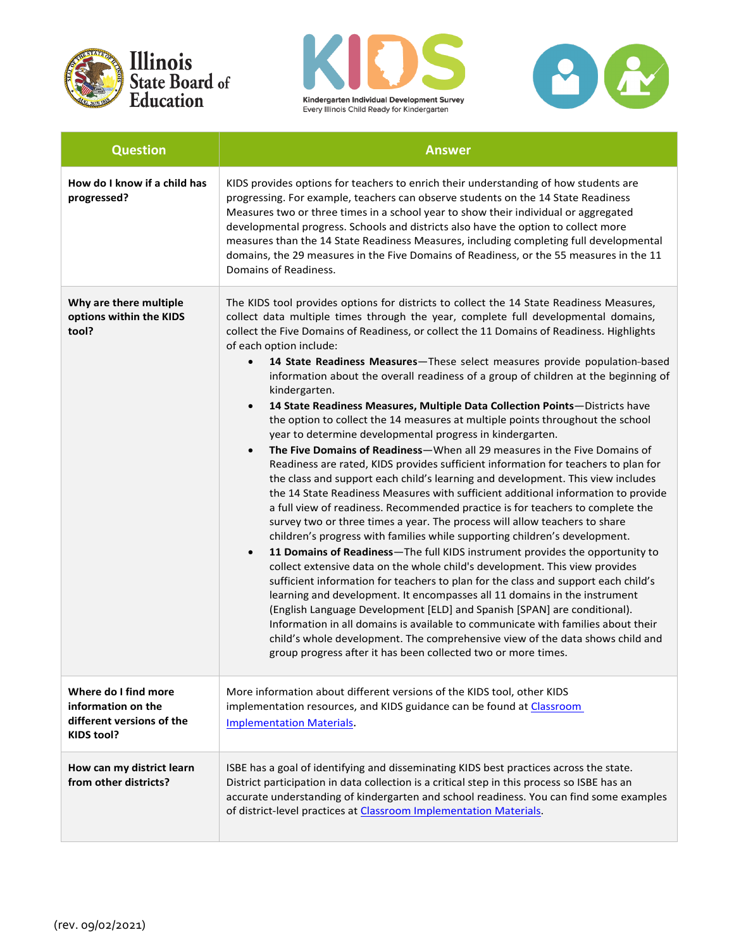





| <b>Question</b>                                                                              | <b>Answer</b>                                                                                                                                                                                                                                                                                                                                                                                                                                                                                                                                                                                                                                                                                                                                                                                                                                                                                                                                                                                                                                                                                                                                                                                                                                                                                                                                                                                                                                                                                                                                                                                                                                                                                                                                                                                                                                                                                                                                                                                                              |
|----------------------------------------------------------------------------------------------|----------------------------------------------------------------------------------------------------------------------------------------------------------------------------------------------------------------------------------------------------------------------------------------------------------------------------------------------------------------------------------------------------------------------------------------------------------------------------------------------------------------------------------------------------------------------------------------------------------------------------------------------------------------------------------------------------------------------------------------------------------------------------------------------------------------------------------------------------------------------------------------------------------------------------------------------------------------------------------------------------------------------------------------------------------------------------------------------------------------------------------------------------------------------------------------------------------------------------------------------------------------------------------------------------------------------------------------------------------------------------------------------------------------------------------------------------------------------------------------------------------------------------------------------------------------------------------------------------------------------------------------------------------------------------------------------------------------------------------------------------------------------------------------------------------------------------------------------------------------------------------------------------------------------------------------------------------------------------------------------------------------------------|
| How do I know if a child has<br>progressed?                                                  | KIDS provides options for teachers to enrich their understanding of how students are<br>progressing. For example, teachers can observe students on the 14 State Readiness<br>Measures two or three times in a school year to show their individual or aggregated<br>developmental progress. Schools and districts also have the option to collect more<br>measures than the 14 State Readiness Measures, including completing full developmental<br>domains, the 29 measures in the Five Domains of Readiness, or the 55 measures in the 11<br>Domains of Readiness.                                                                                                                                                                                                                                                                                                                                                                                                                                                                                                                                                                                                                                                                                                                                                                                                                                                                                                                                                                                                                                                                                                                                                                                                                                                                                                                                                                                                                                                       |
| Why are there multiple<br>options within the KIDS<br>tool?                                   | The KIDS tool provides options for districts to collect the 14 State Readiness Measures,<br>collect data multiple times through the year, complete full developmental domains,<br>collect the Five Domains of Readiness, or collect the 11 Domains of Readiness. Highlights<br>of each option include:<br>14 State Readiness Measures-These select measures provide population-based<br>$\bullet$<br>information about the overall readiness of a group of children at the beginning of<br>kindergarten.<br>14 State Readiness Measures, Multiple Data Collection Points-Districts have<br>$\bullet$<br>the option to collect the 14 measures at multiple points throughout the school<br>year to determine developmental progress in kindergarten.<br>The Five Domains of Readiness-When all 29 measures in the Five Domains of<br>$\bullet$<br>Readiness are rated, KIDS provides sufficient information for teachers to plan for<br>the class and support each child's learning and development. This view includes<br>the 14 State Readiness Measures with sufficient additional information to provide<br>a full view of readiness. Recommended practice is for teachers to complete the<br>survey two or three times a year. The process will allow teachers to share<br>children's progress with families while supporting children's development.<br>11 Domains of Readiness-The full KIDS instrument provides the opportunity to<br>$\bullet$<br>collect extensive data on the whole child's development. This view provides<br>sufficient information for teachers to plan for the class and support each child's<br>learning and development. It encompasses all 11 domains in the instrument<br>(English Language Development [ELD] and Spanish [SPAN] are conditional).<br>Information in all domains is available to communicate with families about their<br>child's whole development. The comprehensive view of the data shows child and<br>group progress after it has been collected two or more times. |
| Where do I find more<br>information on the<br>different versions of the<br><b>KIDS tool?</b> | More information about different versions of the KIDS tool, other KIDS<br>implementation resources, and KIDS guidance can be found at Classroom<br><b>Implementation Materials.</b>                                                                                                                                                                                                                                                                                                                                                                                                                                                                                                                                                                                                                                                                                                                                                                                                                                                                                                                                                                                                                                                                                                                                                                                                                                                                                                                                                                                                                                                                                                                                                                                                                                                                                                                                                                                                                                        |
| How can my district learn<br>from other districts?                                           | ISBE has a goal of identifying and disseminating KIDS best practices across the state.<br>District participation in data collection is a critical step in this process so ISBE has an<br>accurate understanding of kindergarten and school readiness. You can find some examples<br>of district-level practices at Classroom Implementation Materials.                                                                                                                                                                                                                                                                                                                                                                                                                                                                                                                                                                                                                                                                                                                                                                                                                                                                                                                                                                                                                                                                                                                                                                                                                                                                                                                                                                                                                                                                                                                                                                                                                                                                     |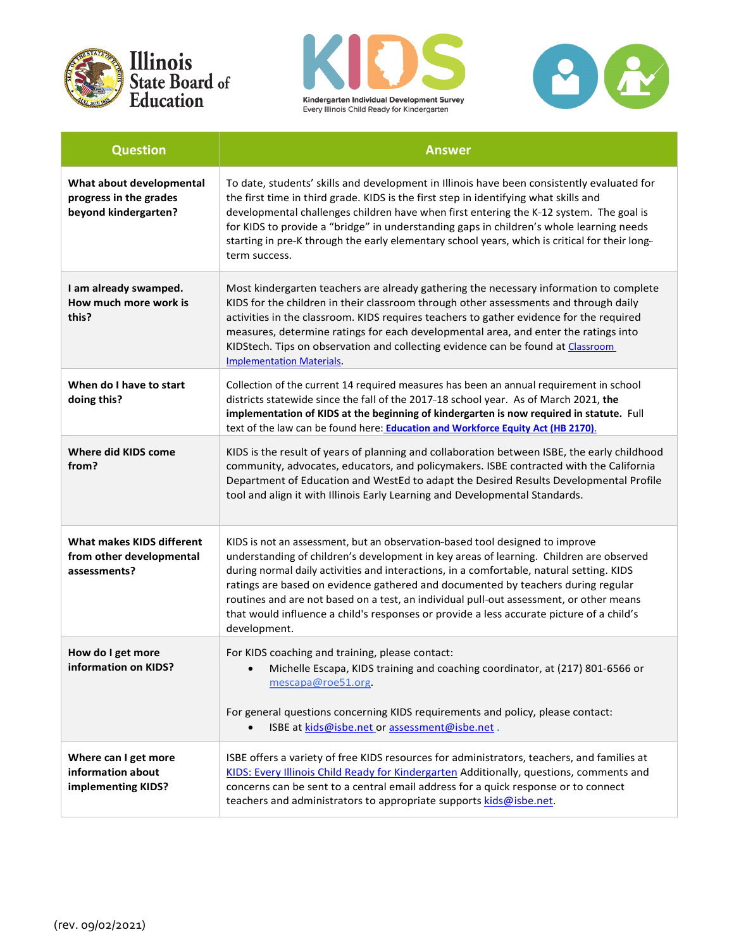





| <b>Question</b>                                                              | <b>Answer</b>                                                                                                                                                                                                                                                                                                                                                                                                                                                                                                                                                  |
|------------------------------------------------------------------------------|----------------------------------------------------------------------------------------------------------------------------------------------------------------------------------------------------------------------------------------------------------------------------------------------------------------------------------------------------------------------------------------------------------------------------------------------------------------------------------------------------------------------------------------------------------------|
| What about developmental<br>progress in the grades<br>beyond kindergarten?   | To date, students' skills and development in Illinois have been consistently evaluated for<br>the first time in third grade. KIDS is the first step in identifying what skills and<br>developmental challenges children have when first entering the K-12 system. The goal is<br>for KIDS to provide a "bridge" in understanding gaps in children's whole learning needs<br>starting in pre-K through the early elementary school years, which is critical for their long-<br>term success.                                                                    |
| I am already swamped.<br>How much more work is<br>this?                      | Most kindergarten teachers are already gathering the necessary information to complete<br>KIDS for the children in their classroom through other assessments and through daily<br>activities in the classroom. KIDS requires teachers to gather evidence for the required<br>measures, determine ratings for each developmental area, and enter the ratings into<br>KIDStech. Tips on observation and collecting evidence can be found at Classroom<br><b>Implementation Materials.</b>                                                                        |
| When do I have to start<br>doing this?                                       | Collection of the current 14 required measures has been an annual requirement in school<br>districts statewide since the fall of the 2017-18 school year. As of March 2021, the<br>implementation of KIDS at the beginning of kindergarten is now required in statute. Full<br>text of the law can be found here: <b>Education and Workforce Equity Act (HB 2170)</b> .                                                                                                                                                                                        |
| Where did KIDS come<br>from?                                                 | KIDS is the result of years of planning and collaboration between ISBE, the early childhood<br>community, advocates, educators, and policymakers. ISBE contracted with the California<br>Department of Education and WestEd to adapt the Desired Results Developmental Profile<br>tool and align it with Illinois Early Learning and Developmental Standards.                                                                                                                                                                                                  |
| <b>What makes KIDS different</b><br>from other developmental<br>assessments? | KIDS is not an assessment, but an observation-based tool designed to improve<br>understanding of children's development in key areas of learning. Children are observed<br>during normal daily activities and interactions, in a comfortable, natural setting. KIDS<br>ratings are based on evidence gathered and documented by teachers during regular<br>routines and are not based on a test, an individual pull-out assessment, or other means<br>that would influence a child's responses or provide a less accurate picture of a child's<br>development. |
| How do I get more<br>information on KIDS?                                    | For KIDS coaching and training, please contact:<br>Michelle Escapa, KIDS training and coaching coordinator, at (217) 801-6566 or<br>mescapa@roe51.org<br>For general questions concerning KIDS requirements and policy, please contact:<br>ISBE at kids@isbe.net or assessment@isbe.net.                                                                                                                                                                                                                                                                       |
| Where can I get more<br>information about<br>implementing KIDS?              | ISBE offers a variety of free KIDS resources for administrators, teachers, and families at<br>KIDS: Every Illinois Child Ready for Kindergarten Additionally, questions, comments and<br>concerns can be sent to a central email address for a quick response or to connect<br>teachers and administrators to appropriate supports kids@isbe.net.                                                                                                                                                                                                              |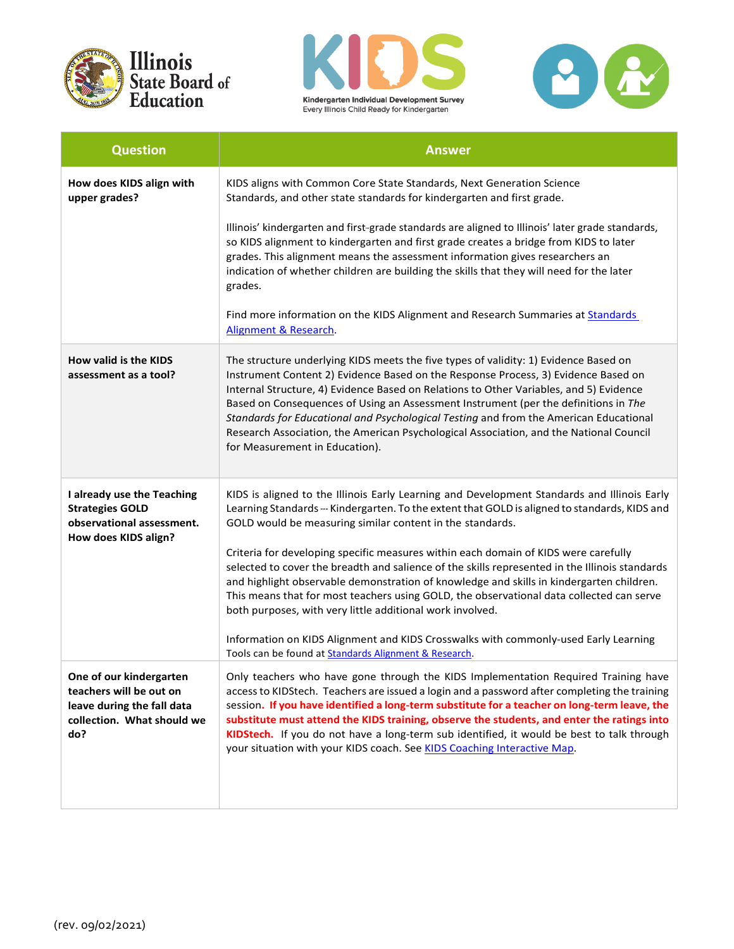





| <b>Question</b>                                                                                                       | <b>Answer</b>                                                                                                                                                                                                                                                                                                                                                                                                                                                                                                                                                                    |
|-----------------------------------------------------------------------------------------------------------------------|----------------------------------------------------------------------------------------------------------------------------------------------------------------------------------------------------------------------------------------------------------------------------------------------------------------------------------------------------------------------------------------------------------------------------------------------------------------------------------------------------------------------------------------------------------------------------------|
| How does KIDS align with<br>upper grades?                                                                             | KIDS aligns with Common Core State Standards, Next Generation Science<br>Standards, and other state standards for kindergarten and first grade.                                                                                                                                                                                                                                                                                                                                                                                                                                  |
|                                                                                                                       | Illinois' kindergarten and first-grade standards are aligned to Illinois' later grade standards,<br>so KIDS alignment to kindergarten and first grade creates a bridge from KIDS to later<br>grades. This alignment means the assessment information gives researchers an<br>indication of whether children are building the skills that they will need for the later<br>grades.                                                                                                                                                                                                 |
|                                                                                                                       | Find more information on the KIDS Alignment and Research Summaries at Standards<br>Alignment & Research.                                                                                                                                                                                                                                                                                                                                                                                                                                                                         |
| How valid is the KIDS<br>assessment as a tool?                                                                        | The structure underlying KIDS meets the five types of validity: 1) Evidence Based on<br>Instrument Content 2) Evidence Based on the Response Process, 3) Evidence Based on<br>Internal Structure, 4) Evidence Based on Relations to Other Variables, and 5) Evidence<br>Based on Consequences of Using an Assessment Instrument (per the definitions in The<br>Standards for Educational and Psychological Testing and from the American Educational<br>Research Association, the American Psychological Association, and the National Council<br>for Measurement in Education). |
| I already use the Teaching<br><b>Strategies GOLD</b><br>observational assessment.<br>How does KIDS align?             | KIDS is aligned to the Illinois Early Learning and Development Standards and Illinois Early<br>Learning Standards --- Kindergarten. To the extent that GOLD is aligned to standards, KIDS and<br>GOLD would be measuring similar content in the standards.                                                                                                                                                                                                                                                                                                                       |
|                                                                                                                       | Criteria for developing specific measures within each domain of KIDS were carefully<br>selected to cover the breadth and salience of the skills represented in the Illinois standards<br>and highlight observable demonstration of knowledge and skills in kindergarten children.<br>This means that for most teachers using GOLD, the observational data collected can serve<br>both purposes, with very little additional work involved.                                                                                                                                       |
|                                                                                                                       | Information on KIDS Alignment and KIDS Crosswalks with commonly-used Early Learning<br>Tools can be found at Standards Alignment & Research.                                                                                                                                                                                                                                                                                                                                                                                                                                     |
| One of our kindergarten<br>teachers will be out on<br>leave during the fall data<br>collection. What should we<br>do? | Only teachers who have gone through the KIDS Implementation Required Training have<br>access to KIDStech. Teachers are issued a login and a password after completing the training<br>session. If you have identified a long-term substitute for a teacher on long-term leave, the<br>substitute must attend the KIDS training, observe the students, and enter the ratings into<br>KIDStech. If you do not have a long-term sub identified, it would be best to talk through<br>your situation with your KIDS coach. See KIDS Coaching Interactive Map.                         |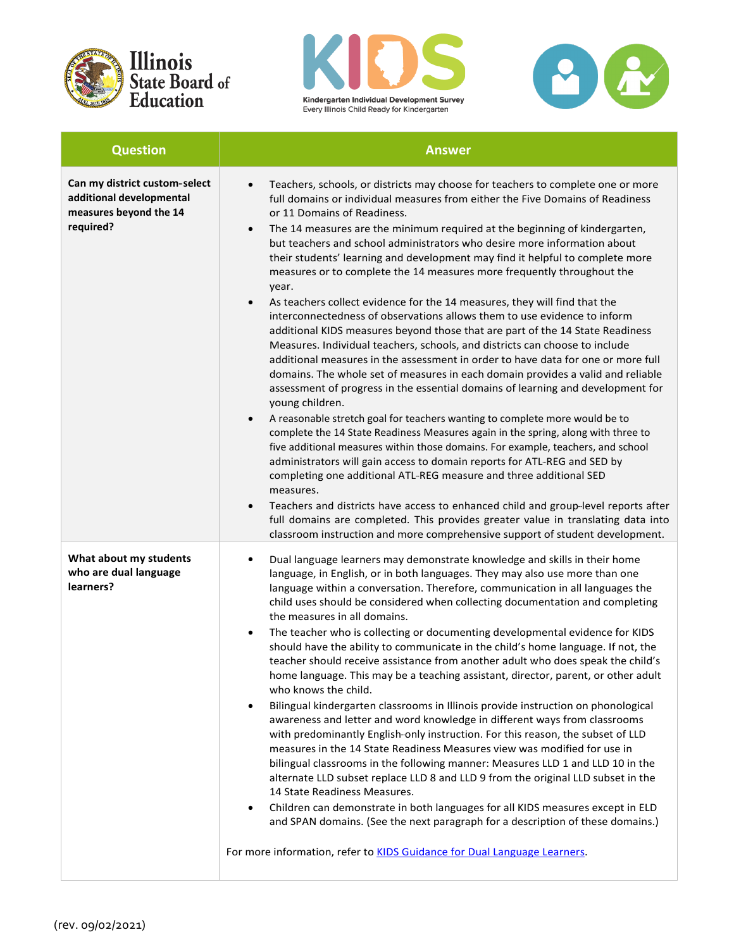





| <b>Question</b>                                                                                  | <b>Answer</b>                                                                                                                                                                                                                                                                                                                                                                                                                                                                                                                                                                                                                                                                                                                                                                                                                                                                                                                                                                                                                                                                                                                                                                                                                                                                                                                                                                                                                                                                                                                                                                                                                                                                                                                                                                                                                                                                         |
|--------------------------------------------------------------------------------------------------|---------------------------------------------------------------------------------------------------------------------------------------------------------------------------------------------------------------------------------------------------------------------------------------------------------------------------------------------------------------------------------------------------------------------------------------------------------------------------------------------------------------------------------------------------------------------------------------------------------------------------------------------------------------------------------------------------------------------------------------------------------------------------------------------------------------------------------------------------------------------------------------------------------------------------------------------------------------------------------------------------------------------------------------------------------------------------------------------------------------------------------------------------------------------------------------------------------------------------------------------------------------------------------------------------------------------------------------------------------------------------------------------------------------------------------------------------------------------------------------------------------------------------------------------------------------------------------------------------------------------------------------------------------------------------------------------------------------------------------------------------------------------------------------------------------------------------------------------------------------------------------------|
| Can my district custom-select<br>additional developmental<br>measures beyond the 14<br>required? | Teachers, schools, or districts may choose for teachers to complete one or more<br>$\bullet$<br>full domains or individual measures from either the Five Domains of Readiness<br>or 11 Domains of Readiness.<br>The 14 measures are the minimum required at the beginning of kindergarten,<br>$\bullet$<br>but teachers and school administrators who desire more information about<br>their students' learning and development may find it helpful to complete more<br>measures or to complete the 14 measures more frequently throughout the<br>year.<br>As teachers collect evidence for the 14 measures, they will find that the<br>$\bullet$<br>interconnectedness of observations allows them to use evidence to inform<br>additional KIDS measures beyond those that are part of the 14 State Readiness<br>Measures. Individual teachers, schools, and districts can choose to include<br>additional measures in the assessment in order to have data for one or more full<br>domains. The whole set of measures in each domain provides a valid and reliable<br>assessment of progress in the essential domains of learning and development for<br>young children.<br>A reasonable stretch goal for teachers wanting to complete more would be to<br>$\bullet$<br>complete the 14 State Readiness Measures again in the spring, along with three to<br>five additional measures within those domains. For example, teachers, and school<br>administrators will gain access to domain reports for ATL-REG and SED by<br>completing one additional ATL-REG measure and three additional SED<br>measures.<br>Teachers and districts have access to enhanced child and group-level reports after<br>$\bullet$<br>full domains are completed. This provides greater value in translating data into<br>classroom instruction and more comprehensive support of student development. |
| What about my students<br>who are dual language<br>learners?                                     | Dual language learners may demonstrate knowledge and skills in their home<br>$\bullet$<br>language, in English, or in both languages. They may also use more than one<br>language within a conversation. Therefore, communication in all languages the<br>child uses should be considered when collecting documentation and completing<br>the measures in all domains.<br>The teacher who is collecting or documenting developmental evidence for KIDS<br>$\bullet$<br>should have the ability to communicate in the child's home language. If not, the<br>teacher should receive assistance from another adult who does speak the child's<br>home language. This may be a teaching assistant, director, parent, or other adult<br>who knows the child.<br>Bilingual kindergarten classrooms in Illinois provide instruction on phonological<br>$\bullet$<br>awareness and letter and word knowledge in different ways from classrooms<br>with predominantly English-only instruction. For this reason, the subset of LLD<br>measures in the 14 State Readiness Measures view was modified for use in<br>bilingual classrooms in the following manner: Measures LLD 1 and LLD 10 in the<br>alternate LLD subset replace LLD 8 and LLD 9 from the original LLD subset in the<br>14 State Readiness Measures.<br>Children can demonstrate in both languages for all KIDS measures except in ELD<br>$\bullet$<br>and SPAN domains. (See the next paragraph for a description of these domains.)<br>For more information, refer to KIDS Guidance for Dual Language Learners.                                                                                                                                                                                                                                                                                                              |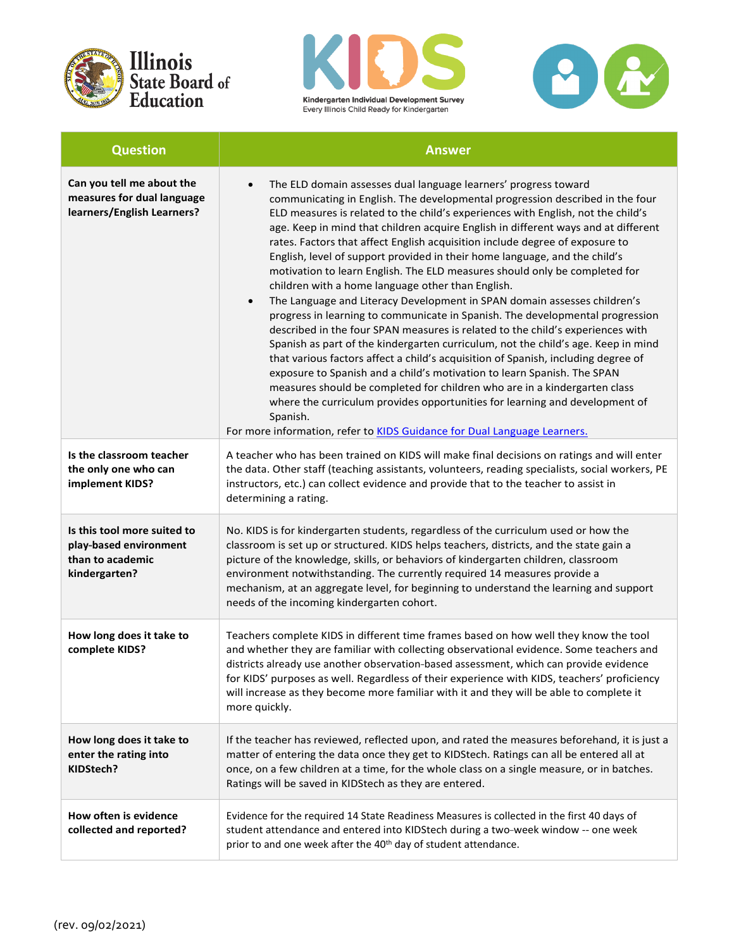





| <b>Question</b>                                                                            | <b>Answer</b>                                                                                                                                                                                                                                                                                                                                                                                                                                                                                                                                                                                                                                                                                                                                                                                                                                                                                                                                                                                                                                                                                                                                                                                                                                                                                                                                                                                                 |
|--------------------------------------------------------------------------------------------|---------------------------------------------------------------------------------------------------------------------------------------------------------------------------------------------------------------------------------------------------------------------------------------------------------------------------------------------------------------------------------------------------------------------------------------------------------------------------------------------------------------------------------------------------------------------------------------------------------------------------------------------------------------------------------------------------------------------------------------------------------------------------------------------------------------------------------------------------------------------------------------------------------------------------------------------------------------------------------------------------------------------------------------------------------------------------------------------------------------------------------------------------------------------------------------------------------------------------------------------------------------------------------------------------------------------------------------------------------------------------------------------------------------|
| Can you tell me about the<br>measures for dual language<br>learners/English Learners?      | The ELD domain assesses dual language learners' progress toward<br>$\bullet$<br>communicating in English. The developmental progression described in the four<br>ELD measures is related to the child's experiences with English, not the child's<br>age. Keep in mind that children acquire English in different ways and at different<br>rates. Factors that affect English acquisition include degree of exposure to<br>English, level of support provided in their home language, and the child's<br>motivation to learn English. The ELD measures should only be completed for<br>children with a home language other than English.<br>The Language and Literacy Development in SPAN domain assesses children's<br>$\bullet$<br>progress in learning to communicate in Spanish. The developmental progression<br>described in the four SPAN measures is related to the child's experiences with<br>Spanish as part of the kindergarten curriculum, not the child's age. Keep in mind<br>that various factors affect a child's acquisition of Spanish, including degree of<br>exposure to Spanish and a child's motivation to learn Spanish. The SPAN<br>measures should be completed for children who are in a kindergarten class<br>where the curriculum provides opportunities for learning and development of<br>Spanish.<br>For more information, refer to KIDS Guidance for Dual Language Learners. |
| Is the classroom teacher<br>the only one who can<br>implement KIDS?                        | A teacher who has been trained on KIDS will make final decisions on ratings and will enter<br>the data. Other staff (teaching assistants, volunteers, reading specialists, social workers, PE<br>instructors, etc.) can collect evidence and provide that to the teacher to assist in<br>determining a rating.                                                                                                                                                                                                                                                                                                                                                                                                                                                                                                                                                                                                                                                                                                                                                                                                                                                                                                                                                                                                                                                                                                |
| Is this tool more suited to<br>play-based environment<br>than to academic<br>kindergarten? | No. KIDS is for kindergarten students, regardless of the curriculum used or how the<br>classroom is set up or structured. KIDS helps teachers, districts, and the state gain a<br>picture of the knowledge, skills, or behaviors of kindergarten children, classroom<br>environment notwithstanding. The currently required 14 measures provide a<br>mechanism, at an aggregate level, for beginning to understand the learning and support<br>needs of the incoming kindergarten cohort.                                                                                                                                                                                                                                                                                                                                                                                                                                                                                                                                                                                                                                                                                                                                                                                                                                                                                                                     |
| How long does it take to<br>complete KIDS?                                                 | Teachers complete KIDS in different time frames based on how well they know the tool<br>and whether they are familiar with collecting observational evidence. Some teachers and<br>districts already use another observation-based assessment, which can provide evidence<br>for KIDS' purposes as well. Regardless of their experience with KIDS, teachers' proficiency<br>will increase as they become more familiar with it and they will be able to complete it<br>more quickly.                                                                                                                                                                                                                                                                                                                                                                                                                                                                                                                                                                                                                                                                                                                                                                                                                                                                                                                          |
| How long does it take to<br>enter the rating into<br>KIDStech?                             | If the teacher has reviewed, reflected upon, and rated the measures beforehand, it is just a<br>matter of entering the data once they get to KIDStech. Ratings can all be entered all at<br>once, on a few children at a time, for the whole class on a single measure, or in batches.<br>Ratings will be saved in KIDStech as they are entered.                                                                                                                                                                                                                                                                                                                                                                                                                                                                                                                                                                                                                                                                                                                                                                                                                                                                                                                                                                                                                                                              |
| How often is evidence<br>collected and reported?                                           | Evidence for the required 14 State Readiness Measures is collected in the first 40 days of<br>student attendance and entered into KIDStech during a two-week window -- one week<br>prior to and one week after the 40 <sup>th</sup> day of student attendance.                                                                                                                                                                                                                                                                                                                                                                                                                                                                                                                                                                                                                                                                                                                                                                                                                                                                                                                                                                                                                                                                                                                                                |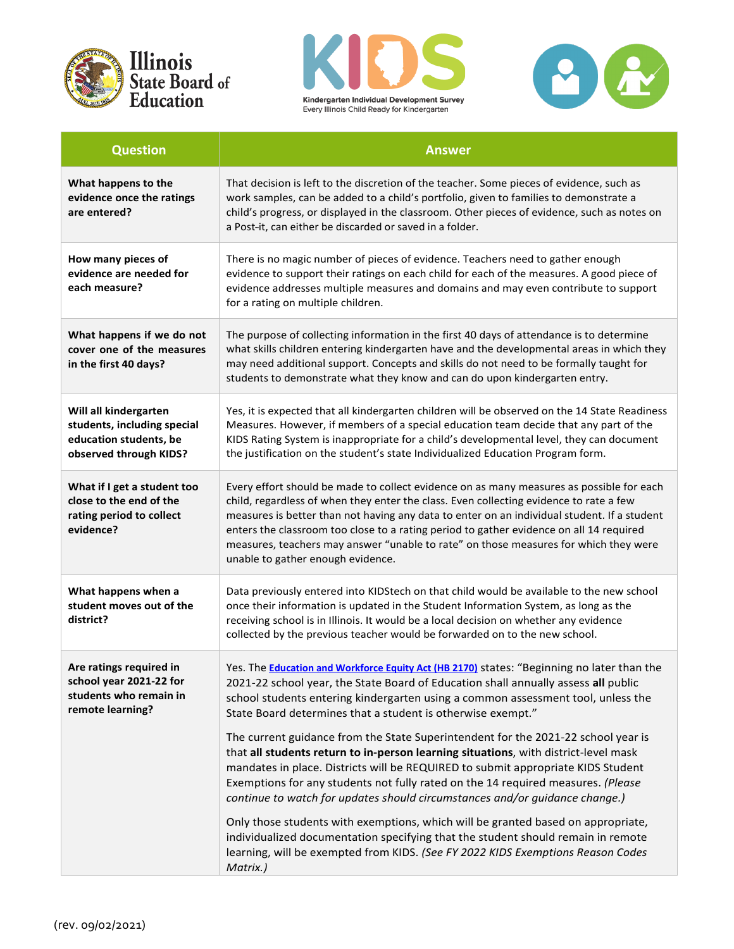





| <b>Question</b>                                                                                          | <b>Answer</b>                                                                                                                                                                                                                                                                                                                                                                                                                                                                                                                                                                                              |
|----------------------------------------------------------------------------------------------------------|------------------------------------------------------------------------------------------------------------------------------------------------------------------------------------------------------------------------------------------------------------------------------------------------------------------------------------------------------------------------------------------------------------------------------------------------------------------------------------------------------------------------------------------------------------------------------------------------------------|
| What happens to the<br>evidence once the ratings<br>are entered?                                         | That decision is left to the discretion of the teacher. Some pieces of evidence, such as<br>work samples, can be added to a child's portfolio, given to families to demonstrate a<br>child's progress, or displayed in the classroom. Other pieces of evidence, such as notes on<br>a Post-it, can either be discarded or saved in a folder.                                                                                                                                                                                                                                                               |
| How many pieces of<br>evidence are needed for<br>each measure?                                           | There is no magic number of pieces of evidence. Teachers need to gather enough<br>evidence to support their ratings on each child for each of the measures. A good piece of<br>evidence addresses multiple measures and domains and may even contribute to support<br>for a rating on multiple children.                                                                                                                                                                                                                                                                                                   |
| What happens if we do not<br>cover one of the measures<br>in the first 40 days?                          | The purpose of collecting information in the first 40 days of attendance is to determine<br>what skills children entering kindergarten have and the developmental areas in which they<br>may need additional support. Concepts and skills do not need to be formally taught for<br>students to demonstrate what they know and can do upon kindergarten entry.                                                                                                                                                                                                                                              |
| Will all kindergarten<br>students, including special<br>education students, be<br>observed through KIDS? | Yes, it is expected that all kindergarten children will be observed on the 14 State Readiness<br>Measures. However, if members of a special education team decide that any part of the<br>KIDS Rating System is inappropriate for a child's developmental level, they can document<br>the justification on the student's state Individualized Education Program form.                                                                                                                                                                                                                                      |
| What if I get a student too<br>close to the end of the<br>rating period to collect<br>evidence?          | Every effort should be made to collect evidence on as many measures as possible for each<br>child, regardless of when they enter the class. Even collecting evidence to rate a few<br>measures is better than not having any data to enter on an individual student. If a student<br>enters the classroom too close to a rating period to gather evidence on all 14 required<br>measures, teachers may answer "unable to rate" on those measures for which they were<br>unable to gather enough evidence.                                                                                                  |
| What happens when a<br>student moves out of the<br>district?                                             | Data previously entered into KIDStech on that child would be available to the new school<br>once their information is updated in the Student Information System, as long as the<br>receiving school is in Illinois. It would be a local decision on whether any evidence<br>collected by the previous teacher would be forwarded on to the new school.                                                                                                                                                                                                                                                     |
| Are ratings required in<br>school year 2021-22 for<br>students who remain in<br>remote learning?         | Yes. The <b>Education and Workforce Equity Act (HB 2170)</b> states: "Beginning no later than the<br>2021-22 school year, the State Board of Education shall annually assess all public<br>school students entering kindergarten using a common assessment tool, unless the<br>State Board determines that a student is otherwise exempt."<br>The current guidance from the State Superintendent for the 2021-22 school year is<br>that all students return to in-person learning situations, with district-level mask<br>mandates in place. Districts will be REQUIRED to submit appropriate KIDS Student |
|                                                                                                          | Exemptions for any students not fully rated on the 14 required measures. (Please<br>continue to watch for updates should circumstances and/or guidance change.)<br>Only those students with exemptions, which will be granted based on appropriate,<br>individualized documentation specifying that the student should remain in remote<br>learning, will be exempted from KIDS. (See FY 2022 KIDS Exemptions Reason Codes<br>Matrix.)                                                                                                                                                                     |